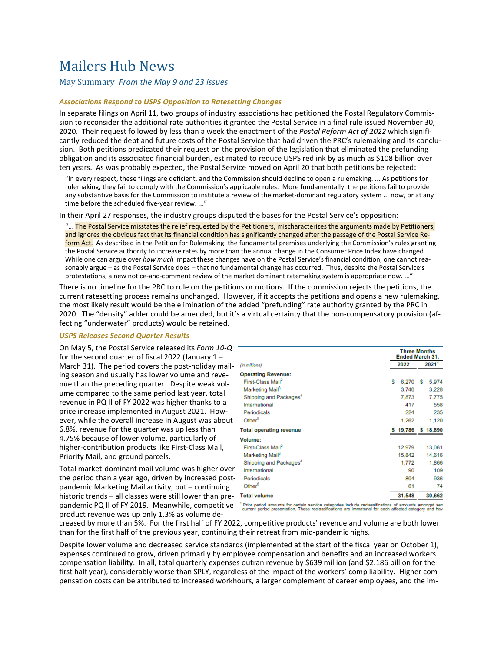# Mailers Hub News

May Summary From the May 9 and 23 issues

# *Associations Respond to USPS Opposition to Ratesetting Changes*

In separate filings on April 11, two groups of industry associations had petitioned the Postal Regulatory Commission to reconsider the additional rate authorities it granted the Postal Service in a final rule issued November 30, 2020. Their request followed by less than a week the enactment of the Postal Reform Act of 2022 which significantly reduced the debt and future costs of the Postal Service that had driven the PRC's rulemaking and its conclusion. Both petitions predicated their request on the provision of the legislation that eliminated the prefunding obligation and its associated financial burden, estimated to reduce USPS red ink by as much as \$108 billion over ten years. As was probably expected, the Postal Service moved on April 20 that both petitions be rejected:

"In every respect, these filings are deficient, and the Commission should decline to open a rulemaking.  $\ldots$  As petitions for rulemaking, they fail to comply with the Commission's applicable rules. More fundamentally, the petitions fail to provide any substantive basis for the Commission to institute a review of the market-dominant regulatory system ... now, or at any time before the scheduled five-year review. ..."

In their April 27 responses, the industry groups disputed the bases for the Postal Service's opposition:

"... The Postal Service misstates the relief requested by the Petitioners, mischaracterizes the arguments made by Petitioners, and ignores the obvious fact that its financial condition has significantly changed after the passage of the Postal Service Reform Act. As described in the Petition for Rulemaking, the fundamental premises underlying the Commission's rules granting the Postal Service authority to increase rates by more than the annual change in the Consumer Price Index have changed. While one can argue over *how much* impact these changes have on the Postal Service's financial condition, one cannot reasonably argue - as the Postal Service does - that no fundamental change has occurred. Thus, despite the Postal Service's protestations, a new notice-and-comment review of the market dominant ratemaking system is appropriate now. ..."

There is no timeline for the PRC to rule on the petitions or motions. If the commission rejects the petitions, the current ratesetting process remains unchanged. However, if it accepts the petitions and opens a new rulemaking, the most likely result would be the elimination of the added "prefunding" rate authority granted by the PRC in 2020. The "density" adder could be amended, but it's a virtual certainty that the non-compensatory provision (affecting "underwater" products) would be retained.

# *USPS Releases Second Quarter Results*

On May 5, the Postal Service released its *Form 10-Q* for the second quarter of fiscal 2022 (January  $1 -$ March 31). The period covers the post-holiday mailing season and usually has lower volume and revenue than the preceding quarter. Despite weak volume compared to the same period last year, total revenue in PQ II of FY 2022 was higher thanks to a price increase implemented in August 2021. However, while the overall increase in August was about 6.8%, revenue for the quarter was up less than 4.75% because of lower volume, particularly of higher-contribution products like First-Class Mail, Priority Mail, and ground parcels.

Total market-dominant mail volume was higher over the period than a year ago, driven by increased postpandemic Marketing Mail activity, but – continuing historic trends – all classes were still lower than prepandemic PQ II of FY 2019. Meanwhile, competitive product revenue was up only 1.3% as volume de-

|                                                                                                                                                                                                                  |             | <b>Three Months</b><br><b>Ended March 31,</b> |  |
|------------------------------------------------------------------------------------------------------------------------------------------------------------------------------------------------------------------|-------------|-----------------------------------------------|--|
| (in millions)                                                                                                                                                                                                    | 2022        | 20211                                         |  |
| <b>Operating Revenue:</b>                                                                                                                                                                                        |             |                                               |  |
| First-Class Mail <sup>2</sup>                                                                                                                                                                                    | \$<br>6.270 | 5,974<br>s                                    |  |
| Marketing Mail <sup>3</sup>                                                                                                                                                                                      | 3,740       | 3.228                                         |  |
| Shipping and Packages <sup>4</sup>                                                                                                                                                                               | 7.873       | 7.775                                         |  |
| International                                                                                                                                                                                                    | 417         | 558                                           |  |
| Periodicals                                                                                                                                                                                                      | 224         | 235                                           |  |
| Other <sup>5</sup>                                                                                                                                                                                               | 1.262       | 1,120                                         |  |
| <b>Total operating revenue</b>                                                                                                                                                                                   |             | \$19,786 \$18,890                             |  |
| Volume:                                                                                                                                                                                                          |             |                                               |  |
| First-Class Mail <sup>2</sup>                                                                                                                                                                                    | 12,979      | 13,061                                        |  |
| Marketing Mail <sup>3</sup>                                                                                                                                                                                      | 15,842      | 14.616                                        |  |
| Shipping and Packages <sup>4</sup>                                                                                                                                                                               | 1,772       | 1.866                                         |  |
| International                                                                                                                                                                                                    | 90          | 109                                           |  |
| Periodicals                                                                                                                                                                                                      | 804         | 936                                           |  |
| Other <sup>6</sup>                                                                                                                                                                                               | 61          | 74                                            |  |
| <b>Total volume</b>                                                                                                                                                                                              | 31.548      | 30,662                                        |  |
| Prior period amounts for certain service categories include reclassifications of amounts amongst serv<br>current period presentation. These reclassifications are immaterial for each affected category and have |             |                                               |  |

creased by more than 5%. For the first half of FY 2022, competitive products' revenue and volume are both lower than for the first half of the previous year, continuing their retreat from mid-pandemic highs.

Despite lower volume and decreased service standards (implemented at the start of the fiscal year on October 1), expenses continued to grow, driven primarily by employee compensation and benefits and an increased workers compensation liability. In all, total quarterly expenses outran revenue by \$639 million (and \$2.186 billion for the first half year), considerably worse than SPLY, regardless of the impact of the workers' comp liability. Higher compensation costs can be attributed to increased workhours, a larger complement of career employees, and the im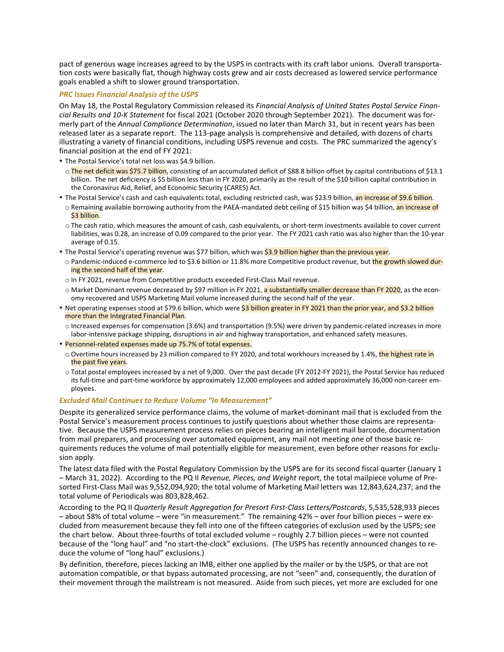pact of generous wage increases agreed to by the USPS in contracts with its craft labor unions. Overall transportation costs were basically flat, though highway costs grew and air costs decreased as lowered service performance goals enabled a shift to slower ground transportation.

# **PRC** Issues Financial Analysis of the USPS

On May 18, the Postal Regulatory Commission released its *Financial Analysis of United States Postal Service Financial Results and 10-K Statement* for fiscal 2021 (October 2020 through September 2021). The document was formerly part of the *Annual Compliance Determination*, issued no later than March 31, but in recent years has been released later as a separate report. The 113-page analysis is comprehensive and detailed, with dozens of charts illustrating a variety of financial conditions, including USPS revenue and costs. The PRC summarized the agency's financial position at the end of FY 2021:

• The Postal Service's total net loss was \$4.9 billion.

- o The net deficit was \$75.7 billion, consisting of an accumulated deficit of \$88.8 billion offset by capital contributions of \$13.1 billion. The net deficiency is \$5 billion less than in FY 2020, primarily as the result of the \$10 billion capital contribution in the Coronavirus Aid, Relief, and Economic Security (CARES) Act.
- The Postal Service's cash and cash equivalents total, excluding restricted cash, was \$23.9 billion, an increase of \$9.6 billion.
- o Remaining available borrowing authority from the PAEA-mandated debt ceiling of \$15 billion was \$4 billion, an increase of \$3 billion.
- o The cash ratio, which measures the amount of cash, cash equivalents, or short-term investments available to cover current liabilities, was 0.28, an increase of 0.09 compared to the prior year. The FY 2021 cash ratio was also higher than the 10-year average of 0.15.
- The Postal Service's operating revenue was \$77 billion, which was \$3.9 billion higher than the previous year.
	- o Pandemic-induced e-commerce led to \$3.6 billion or 11.8% more Competitive product revenue, but the growth slowed during the second half of the year.
	- $\circ$  In FY 2021, revenue from Competitive products exceeded First-Class Mail revenue.
	- $\circ$  Market Dominant revenue decreased by \$97 million in FY 2021, a substantially smaller decrease than FY 2020, as the economy recovered and USPS Marketing Mail volume increased during the second half of the year.
- Net operating expenses stood at \$79.6 billion, which were \$3 billion greater in FY 2021 than the prior year, and \$3.2 billion more than the Integrated Financial Plan.
	- $\circ$  Increased expenses for compensation (3.6%) and transportation (9.5%) were driven by pandemic-related increases in more labor-intensive package shipping, disruptions in air and highway transportation, and enhanced safety measures.
- Personnel-related expenses made up 75.7% of total expenses.
	- o Overtime hours increased by 23 million compared to FY 2020, and total workhours increased by 1.4%, the highest rate in the past five years.
	- o Total postal employees increased by a net of 9,000. Over the past decade (FY 2012-FY 2021), the Postal Service has reduced its full-time and part-time workforce by approximately 12,000 employees and added approximately 36,000 non-career employees.

### **Excluded Mail Continues to Reduce Volume "In Measurement"**

Despite its generalized service performance claims, the volume of market-dominant mail that is excluded from the Postal Service's measurement process continues to justify questions about whether those claims are representative. Because the USPS measurement process relies on pieces bearing an intelligent mail barcode, documentation from mail preparers, and processing over automated equipment, any mail not meeting one of those basic requirements reduces the volume of mail potentially eligible for measurement, even before other reasons for exclusion apply.

The latest data filed with the Postal Regulatory Commission by the USPS are for its second fiscal quarter (January 1 – March 31, 2022). According to the PQ II *Revenue, Pieces, and Weight* report, the total mailpiece volume of Presorted First-Class Mail was 9,552,094,920; the total volume of Marketing Mail letters was 12,843,624,237; and the total volume of Periodicals was 803,828,462.

According to the PQ II *Quarterly Result Aggregation for Presort First-Class Letters/Postcards*, 5,535,528,933 pieces - about 58% of total volume - were "in measurement." The remaining 42% - over four billion pieces - were excluded from measurement because they fell into one of the fifteen categories of exclusion used by the USPS; see the chart below. About three-fourths of total excluded volume – roughly 2.7 billion pieces – were not counted because of the "long haul" and "no start-the-clock" exclusions. (The USPS has recently announced changes to reduce the volume of "long haul" exclusions.)

By definition, therefore, pieces lacking an IMB, either one applied by the mailer or by the USPS, or that are not automation compatible, or that bypass automated processing, are not "seen" and, consequently, the duration of their movement through the mailstream is not measured. Aside from such pieces, yet more are excluded for one